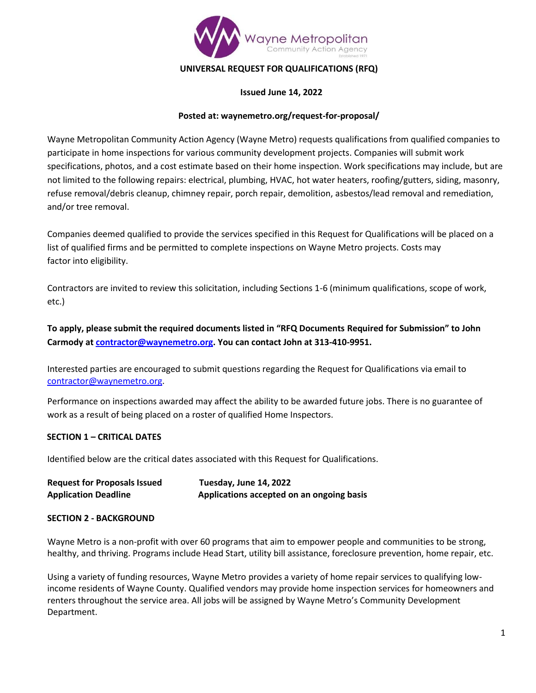

## **UNIVERSAL REQUEST FOR QUALIFICATIONS (RFQ)**

#### **Issued June 14, 2022**

### **Posted at: waynemetro.org/request-for-proposal/**

Wayne Metropolitan Community Action Agency (Wayne Metro) requests qualifications from qualified companies to participate in home inspections for various community development projects. Companies will submit work specifications, photos, and a cost estimate based on their home inspection. Work specifications may include, but are not limited to the following repairs: electrical, plumbing, HVAC, hot water heaters, roofing/gutters, siding, masonry, refuse removal/debris cleanup, chimney repair, porch repair, demolition, asbestos/lead removal and remediation, and/or tree removal.

Companies deemed qualified to provide the services specified in this Request for Qualifications will be placed on a list of qualified firms and be permitted to complete inspections on Wayne Metro projects. Costs may factor into eligibility.

Contractors are invited to review this solicitation, including Sections 1-6 (minimum qualifications, scope of work, etc.)

**To apply, please submit the required documents listed in "RFQ Documents Required for Submission" to John Carmody a[t contractor@waynemetro.org.](mailto:contractor@waynemetro.org) You can contact John at 313-410-9951.**

Interested parties are encouraged to submit questions regarding the Request for Qualifications via email to [contractor@waynemetro.org.](mailto:contractor@waynemetro.org)

Performance on inspections awarded may affect the ability to be awarded future jobs. There is no guarantee of work as a result of being placed on a roster of qualified Home Inspectors.

### **SECTION 1 – CRITICAL DATES**

Identified below are the critical dates associated with this Request for Qualifications.

| <b>Request for Proposals Issued</b> | Tuesday, June 14, 2022                    |
|-------------------------------------|-------------------------------------------|
| <b>Application Deadline</b>         | Applications accepted on an ongoing basis |

#### **SECTION 2 - BACKGROUND**

Wayne Metro is a non-profit with over 60 programs that aim to empower people and communities to be strong, healthy, and thriving. Programs include Head Start, utility bill assistance, foreclosure prevention, home repair, etc.

Using a variety of funding resources, Wayne Metro provides a variety of home repair services to qualifying lowincome residents of Wayne County. Qualified vendors may provide home inspection services for homeowners and renters throughout the service area. All jobs will be assigned by Wayne Metro's Community Development Department.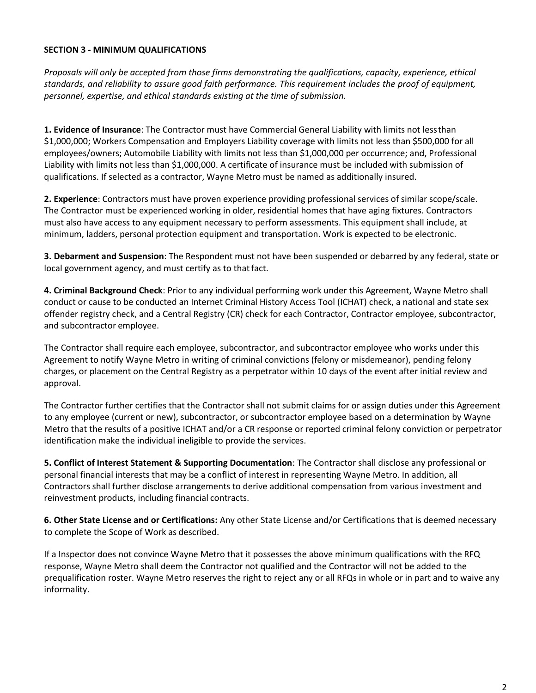## **SECTION 3 - MINIMUM QUALIFICATIONS**

*Proposals will only be accepted from those firms demonstrating the qualifications, capacity, experience, ethical standards, and reliability to assure good faith performance. This requirement includes the proof of equipment, personnel, expertise, and ethical standards existing at the time of submission.*

**1. Evidence of Insurance**: The Contractor must have Commercial General Liability with limits not lessthan \$1,000,000; Workers Compensation and Employers Liability coverage with limits not less than \$500,000 for all employees/owners; Automobile Liability with limits not less than \$1,000,000 per occurrence; and, Professional Liability with limits not less than \$1,000,000. A certificate of insurance must be included with submission of qualifications. If selected as a contractor, Wayne Metro must be named as additionally insured.

**2. Experience**: Contractors must have proven experience providing professional services of similar scope/scale. The Contractor must be experienced working in older, residential homes that have aging fixtures. Contractors must also have access to any equipment necessary to perform assessments. This equipment shall include, at minimum, ladders, personal protection equipment and transportation. Work is expected to be electronic.

**3. Debarment and Suspension**: The Respondent must not have been suspended or debarred by any federal, state or local government agency, and must certify as to that fact.

**4. Criminal Background Check**: Prior to any individual performing work under this Agreement, Wayne Metro shall conduct or cause to be conducted an Internet Criminal History Access Tool (ICHAT) check, a national and state sex offender registry check, and a Central Registry (CR) check for each Contractor, Contractor employee, subcontractor, and subcontractor employee.

The Contractor shall require each employee, subcontractor, and subcontractor employee who works under this Agreement to notify Wayne Metro in writing of criminal convictions (felony or misdemeanor), pending felony charges, or placement on the Central Registry as a perpetrator within 10 days of the event after initial review and approval.

The Contractor further certifies that the Contractor shall not submit claims for or assign duties under this Agreement to any employee (current or new), subcontractor, or subcontractor employee based on a determination by Wayne Metro that the results of a positive ICHAT and/or a CR response or reported criminal felony conviction or perpetrator identification make the individual ineligible to provide the services.

**5. Conflict of Interest Statement & Supporting Documentation**: The Contractor shall disclose any professional or personal financial interests that may be a conflict of interest in representing Wayne Metro. In addition, all Contractors shall further disclose arrangements to derive additional compensation from various investment and reinvestment products, including financial contracts.

**6. Other State License and or Certifications:** Any other State License and/or Certifications that is deemed necessary to complete the Scope of Work as described.

If a Inspector does not convince Wayne Metro that it possesses the above minimum qualifications with the RFQ response, Wayne Metro shall deem the Contractor not qualified and the Contractor will not be added to the prequalification roster. Wayne Metro reserves the right to reject any or all RFQs in whole or in part and to waive any informality.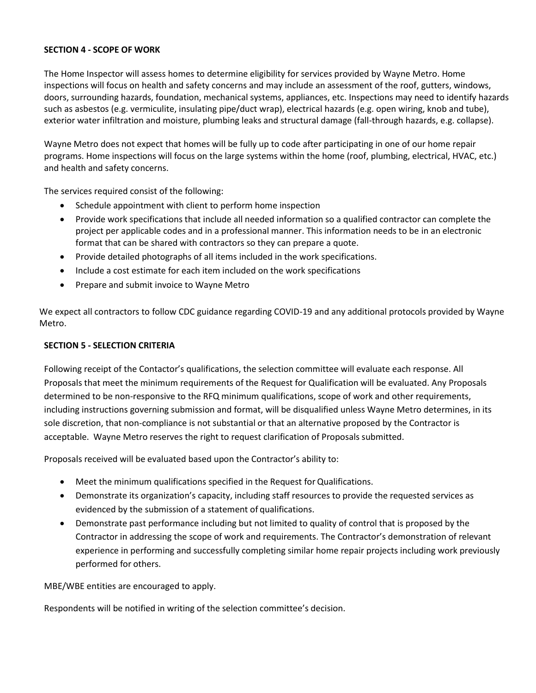### **SECTION 4 - SCOPE OF WORK**

The Home Inspector will assess homes to determine eligibility for services provided by Wayne Metro. Home inspections will focus on health and safety concerns and may include an assessment of the roof, gutters, windows, doors, surrounding hazards, foundation, mechanical systems, appliances, etc. Inspections may need to identify hazards such as asbestos (e.g. vermiculite, insulating pipe/duct wrap), electrical hazards (e.g. open wiring, knob and tube), exterior water infiltration and moisture, plumbing leaks and structural damage (fall-through hazards, e.g. collapse).

Wayne Metro does not expect that homes will be fully up to code after participating in one of our home repair programs. Home inspections will focus on the large systems within the home (roof, plumbing, electrical, HVAC, etc.) and health and safety concerns.

The services required consist of the following:

- Schedule appointment with client to perform home inspection
- Provide work specifications that include all needed information so a qualified contractor can complete the project per applicable codes and in a professional manner. This information needs to be in an electronic format that can be shared with contractors so they can prepare a quote.
- Provide detailed photographs of all items included in the work specifications.
- Include a cost estimate for each item included on the work specifications
- Prepare and submit invoice to Wayne Metro

We expect all contractors to follow CDC guidance regarding COVID-19 and any additional protocols provided by Wayne Metro.

#### **SECTION 5 - SELECTION CRITERIA**

Following receipt of the Contactor's qualifications, the selection committee will evaluate each response. All Proposals that meet the minimum requirements of the Request for Qualification will be evaluated. Any Proposals determined to be non-responsive to the RFQ minimum qualifications, scope of work and other requirements, including instructions governing submission and format, will be disqualified unless Wayne Metro determines, in its sole discretion, that non-compliance is not substantial or that an alternative proposed by the Contractor is acceptable. Wayne Metro reserves the right to request clarification of Proposals submitted.

Proposals received will be evaluated based upon the Contractor's ability to:

- Meet the minimum qualifications specified in the Request for Qualifications.
- Demonstrate its organization's capacity, including staff resources to provide the requested services as evidenced by the submission of a statement of qualifications.
- Demonstrate past performance including but not limited to quality of control that is proposed by the Contractor in addressing the scope of work and requirements. The Contractor's demonstration of relevant experience in performing and successfully completing similar home repair projects including work previously performed for others.

MBE/WBE entities are encouraged to apply.

Respondents will be notified in writing of the selection committee's decision.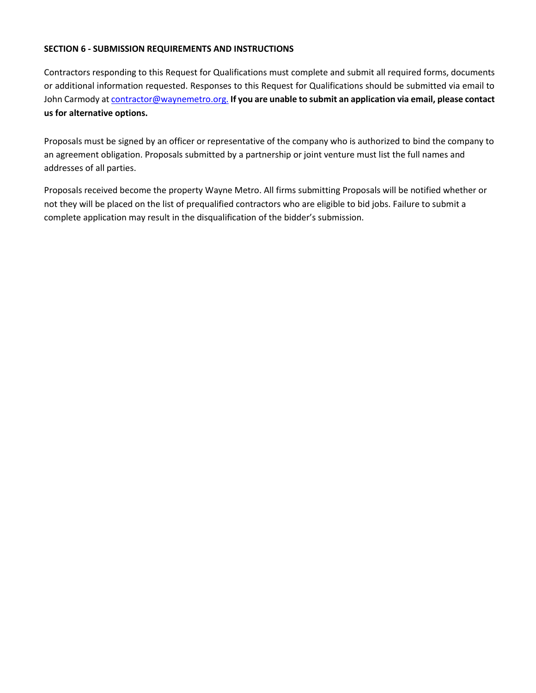### **SECTION 6 - SUBMISSION REQUIREMENTS AND INSTRUCTIONS**

Contractors responding to this Request for Qualifications must complete and submit all required forms, documents or additional information requested. Responses to this Request for Qualifications should be submitted via email to John Carmody at [contractor@waynemetro.org.](mailto:contractor@waynemetro.org.) **If you are unable to submit an application via email, please contact us for alternative options.**

Proposals must be signed by an officer or representative of the company who is authorized to bind the company to an agreement obligation. Proposals submitted by a partnership or joint venture must list the full names and addresses of all parties.

Proposals received become the property Wayne Metro. All firms submitting Proposals will be notified whether or not they will be placed on the list of prequalified contractors who are eligible to bid jobs. Failure to submit a complete application may result in the disqualification of the bidder's submission.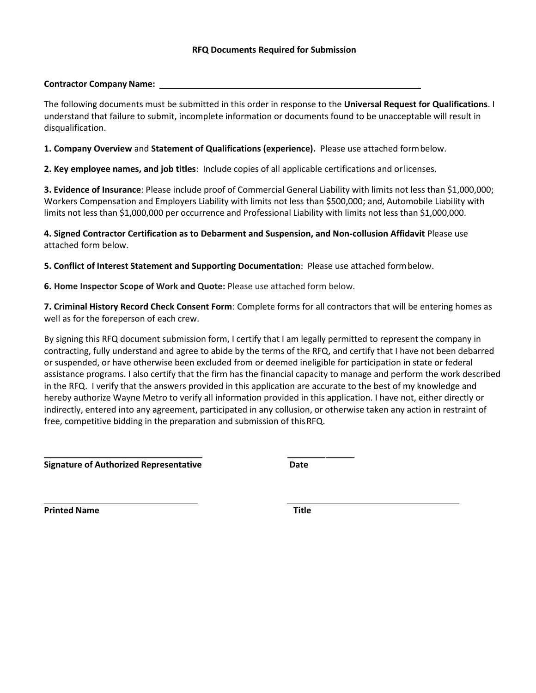#### **Contractor Company Name:**

The following documents must be submitted in this order in response to the **Universal Request for Qualifications**. I understand that failure to submit, incomplete information or documents found to be unacceptable will result in disqualification.

**1. Company Overview** and **Statement of Qualifications (experience).** Please use attached formbelow.

**2. Key employee names, and job titles**: Include copies of all applicable certifications and orlicenses.

**3. Evidence of Insurance**: Please include proof of Commercial General Liability with limits not less than \$1,000,000; Workers Compensation and Employers Liability with limits not less than \$500,000; and, Automobile Liability with limits not less than \$1,000,000 per occurrence and Professional Liability with limits not less than \$1,000,000.

**4. Signed Contractor Certification as to Debarment and Suspension, and Non-collusion Affidavit** Please use attached form below.

**5. Conflict of Interest Statement and Supporting Documentation**: Please use attached formbelow.

**6. Home Inspector Scope of Work and Quote:** Please use attached form below.

**7. Criminal History Record Check Consent Form**: Complete forms for all contractors that will be entering homes as well as for the foreperson of each crew.

By signing this RFQ document submission form, I certify that I am legally permitted to represent the company in contracting, fully understand and agree to abide by the terms of the RFQ, and certify that I have not been debarred or suspended, or have otherwise been excluded from or deemed ineligible for participation in state or federal assistance programs. I also certify that the firm has the financial capacity to manage and perform the work described in the RFQ. I verify that the answers provided in this application are accurate to the best of my knowledge and hereby authorize Wayne Metro to verify all information provided in this application. I have not, either directly or indirectly, entered into any agreement, participated in any collusion, or otherwise taken any action in restraint of free, competitive bidding in the preparation and submission of thisRFQ.

**Signature of Authorized Representative Date**

**Printed Name Title**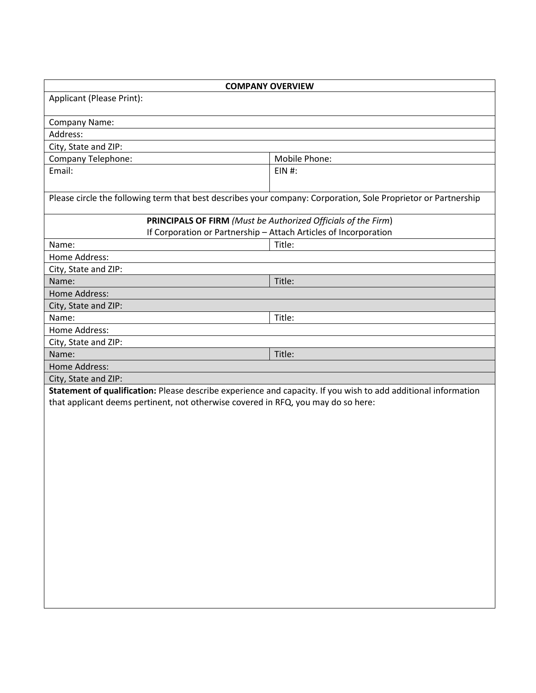| <b>COMPANY OVERVIEW</b>                                                                                        |               |  |  |  |
|----------------------------------------------------------------------------------------------------------------|---------------|--|--|--|
| Applicant (Please Print):                                                                                      |               |  |  |  |
|                                                                                                                |               |  |  |  |
| Company Name:                                                                                                  |               |  |  |  |
| Address:                                                                                                       |               |  |  |  |
| City, State and ZIP:                                                                                           |               |  |  |  |
| <b>Company Telephone:</b>                                                                                      | Mobile Phone: |  |  |  |
| Email:                                                                                                         | $EIN$ #:      |  |  |  |
|                                                                                                                |               |  |  |  |
| Please circle the following term that best describes your company: Corporation, Sole Proprietor or Partnership |               |  |  |  |
| <b>PRINCIPALS OF FIRM</b> (Must be Authorized Officials of the Firm)                                           |               |  |  |  |
| If Corporation or Partnership - Attach Articles of Incorporation                                               |               |  |  |  |
| Name:                                                                                                          | Title:        |  |  |  |
| Home Address:                                                                                                  |               |  |  |  |
| City, State and ZIP:                                                                                           |               |  |  |  |
| Name:                                                                                                          | Title:        |  |  |  |
| Home Address:                                                                                                  |               |  |  |  |
| City, State and ZIP:                                                                                           |               |  |  |  |
| Name:                                                                                                          | Title:        |  |  |  |
| Home Address:                                                                                                  |               |  |  |  |
| City, State and ZIP:                                                                                           |               |  |  |  |
| Name:                                                                                                          | Title:        |  |  |  |
| Home Address:                                                                                                  |               |  |  |  |
| City, State and ZIP:                                                                                           |               |  |  |  |
| Statement of qualification: Please describe experience and capacity. If you wish to add additional information |               |  |  |  |
| that applicant deems pertinent, not otherwise covered in RFQ, you may do so here:                              |               |  |  |  |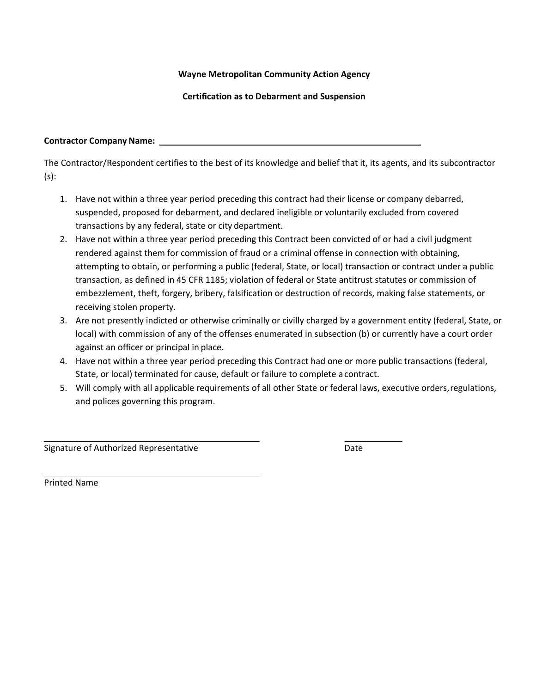## **Wayne Metropolitan Community Action Agency**

**Certification as to Debarment and Suspension**

### **Contractor Company Name:**

The Contractor/Respondent certifies to the best of its knowledge and belief that it, its agents, and its subcontractor (s):

- 1. Have not within a three year period preceding this contract had their license or company debarred, suspended, proposed for debarment, and declared ineligible or voluntarily excluded from covered transactions by any federal, state or city department.
- 2. Have not within a three year period preceding this Contract been convicted of or had a civil judgment rendered against them for commission of fraud or a criminal offense in connection with obtaining, attempting to obtain, or performing a public (federal, State, or local) transaction or contract under a public transaction, as defined in 45 CFR 1185; violation of federal or State antitrust statutes or commission of embezzlement, theft, forgery, bribery, falsification or destruction of records, making false statements, or receiving stolen property.
- 3. Are not presently indicted or otherwise criminally or civilly charged by a government entity (federal, State, or local) with commission of any of the offenses enumerated in subsection (b) or currently have a court order against an officer or principal in place.
- 4. Have not within a three year period preceding this Contract had one or more public transactions (federal, State, or local) terminated for cause, default or failure to complete acontract.
- 5. Will comply with all applicable requirements of all other State or federal laws, executive orders,regulations, and polices governing this program.

Signature of Authorized Representative **Date** Date

Printed Name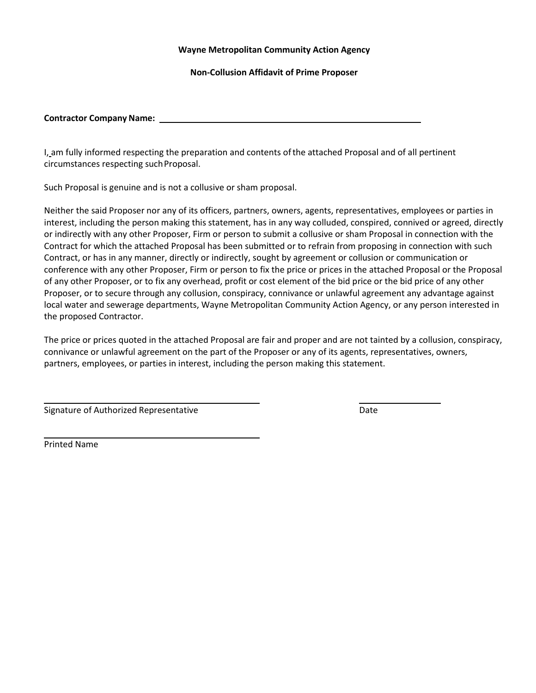#### **Wayne Metropolitan Community Action Agency**

**Non-Collusion Affidavit of Prime Proposer**

#### **Contractor Company Name:**

I, am fully informed respecting the preparation and contents ofthe attached Proposal and of all pertinent circumstances respecting such Proposal.

Such Proposal is genuine and is not a collusive or sham proposal.

Neither the said Proposer nor any of its officers, partners, owners, agents, representatives, employees or parties in interest, including the person making this statement, has in any way colluded, conspired, connived or agreed, directly or indirectly with any other Proposer, Firm or person to submit a collusive or sham Proposal in connection with the Contract for which the attached Proposal has been submitted or to refrain from proposing in connection with such Contract, or has in any manner, directly or indirectly, sought by agreement or collusion or communication or conference with any other Proposer, Firm or person to fix the price or prices in the attached Proposal or the Proposal of any other Proposer, or to fix any overhead, profit or cost element of the bid price or the bid price of any other Proposer, or to secure through any collusion, conspiracy, connivance or unlawful agreement any advantage against local water and sewerage departments, Wayne Metropolitan Community Action Agency, or any person interested in the proposed Contractor.

The price or prices quoted in the attached Proposal are fair and proper and are not tainted by a collusion, conspiracy, connivance or unlawful agreement on the part of the Proposer or any of its agents, representatives, owners, partners, employees, or parties in interest, including the person making this statement.

Signature of Authorized Representative **Date** Date Date

Printed Name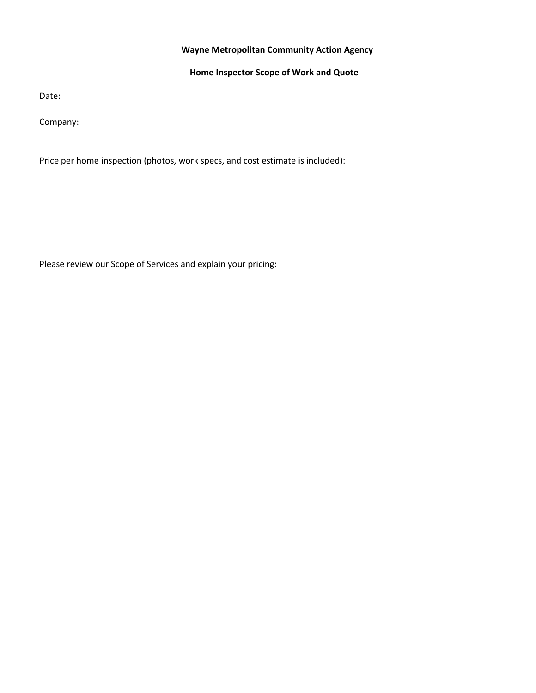## **Wayne Metropolitan Community Action Agency**

## **Home Inspector Scope of Work and Quote**

Date:

Company:

Price per home inspection (photos, work specs, and cost estimate is included):

Please review our Scope of Services and explain your pricing: